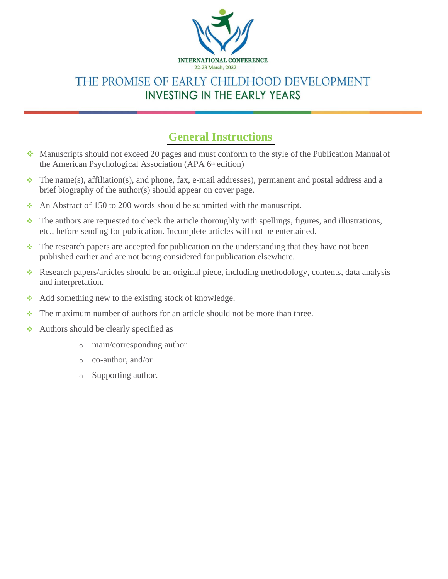

## THE PROMISE OF EARLY CHILDHOOD DEVELOPMENT **INVESTING IN THE EARLY YEARS**

## **General Instructions**

- ❖ Manuscripts should not exceed 20 pages and must conform to the style of the Publication Manualof the American Psychological Association (APA 6<sup>th</sup> edition)
- $\bullet$  The name(s), affiliation(s), and phone, fax, e-mail addresses), permanent and postal address and a brief biography of the author(s) should appear on cover page.
- $\cdot$  An Abstract of 150 to 200 words should be submitted with the manuscript.
- ❖ The authors are requested to check the article thoroughly with spellings, figures, and illustrations, etc., before sending for publication. Incomplete articles will not be entertained.
- ❖ The research papers are accepted for publication on the understanding that they have not been published earlier and are not being considered for publication elsewhere.
- ❖ Research papers/articles should be an original piece, including methodology, contents, data analysis and interpretation.
- ❖ Add something new to the existing stock of knowledge.
- ❖ The maximum number of authors for an article should not be more than three.
- ❖ Authors should be clearly specified as
	- o main/corresponding author
	- o co-author, and/or
	- o Supporting author.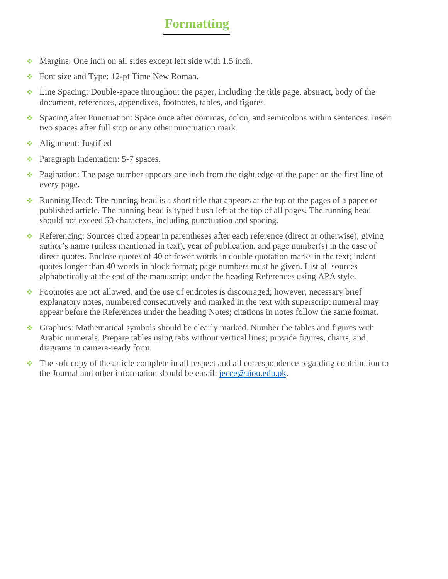## **Formatting**

- $\cdot$  Margins: One inch on all sides except left side with 1.5 inch.
- ❖ Font size and Type: 12-pt Time New Roman.
- ❖ Line Spacing: Double-space throughout the paper, including the title page, abstract, body of the document, references, appendixes, footnotes, tables, and figures.
- ❖ Spacing after Punctuation: Space once after commas, colon, and semicolons within sentences. Insert two spaces after full stop or any other punctuation mark.
- **❖** Alignment: Justified
- ❖ Paragraph Indentation: 5-7 spaces.
- ❖ Pagination: The page number appears one inch from the right edge of the paper on the first line of every page.
- ❖ Running Head: The running head is a short title that appears at the top of the pages of a paper or published article. The running head is typed flush left at the top of all pages. The running head should not exceed 50 characters, including punctuation and spacing.
- ❖ Referencing: Sources cited appear in parentheses after each reference (direct or otherwise), giving author's name (unless mentioned in text), year of publication, and page number(s) in the case of direct quotes. Enclose quotes of 40 or fewer words in double quotation marks in the text; indent quotes longer than 40 words in block format; page numbers must be given. List all sources alphabetically at the end of the manuscript under the heading References using APA style.
- ❖ Footnotes are not allowed, and the use of endnotes is discouraged; however, necessary brief explanatory notes, numbered consecutively and marked in the text with superscript numeral may appear before the References under the heading Notes; citations in notes follow the same format.
- ❖ Graphics: Mathematical symbols should be clearly marked. Number the tables and figures with Arabic numerals. Prepare tables using tabs without vertical lines; provide figures, charts, and diagrams in camera-ready form.
- ❖ The soft copy of the article complete in all respect and all correspondence regarding contribution to the Journal and other information should be email: [jecce@aiou.edu.pk.](mailto:jecce@aiou.edu.pk)